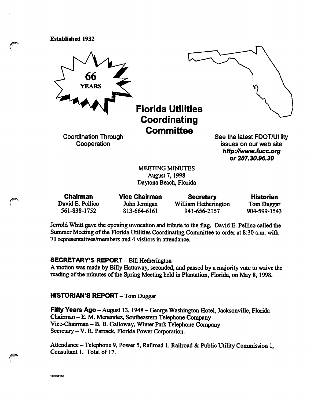Established 1932



August?, 1998 Daytona Beach, Florida

| <b>Chairman</b>  | <b>Vice Chairman</b> | <b>Secretary</b>     | <b>Historian</b>  |
|------------------|----------------------|----------------------|-------------------|
| David E. Pellico | John Jernigan        | William Hetherington | <b>Tom Duggar</b> |
| 561-838-1752     | 813-664-6161         | 941-656-2157         | 904-599-1543      |

Jerrold Whitt gave the opening invocation and tribute to the flag. David E. Pellico called the Summer Meeting of the Florida Utilities Coordinating Committee to order at 8:30 a.m. with 71 representatives/members and 4 visitors in attendance.

#### SECRETARY'S REPORT - Bill Hetherington

A motion was made by Billy Hattaway, seconded, and passed by a majority vote to waive the reading of the minutes of the Spring Meeting held in Plantation, Florida, on May 8,1998.

HISTORIAN'S REPORT - Tom Duggar

Fifty Years Ago - August 13, 1948 - George Washington Hotel, Jacksonville, Florida Chairman - E. M. Menendez, Southeastern Telephone Company Vice-Chairman – B. B. Galloway, Winter Park Telephone Company Secretary - V. R. Parrack, Florida Power Corporation.

Attendance — Telephone 9, Power 5, Railroad 1, Railroad & Public Utility Commission 1, Consultant 1. Total of 17.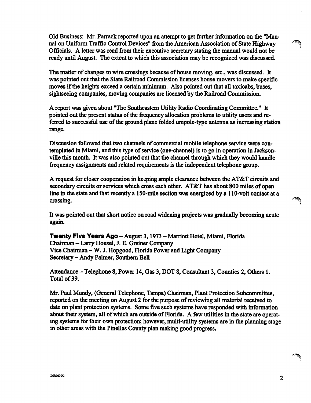Old Business: Mr. Parrack reported upon an attempt to get further information on the "Man ual on Uniform Traffic Control Devices" from the American Association of State Highway Officials. A letter was read from their executive secretary stating the manual would not be ready until August. The extent to which this association may be recognized was discussed.

The matter of changes to wire crossings because of house moving, etc., was discussed. It was pointed out that the State Railroad Commission licenses house movers to make specific moves if the heights exceed a certain minimum. Also pointed out that all taxicabs, buses, sightseeing companies, moving companies are licensed by the Railroad Commission.

A report was given about "The Southeastern Utility Radio Coordinating Committee." It pointed out the present status of the firequency allocation problems to utility users and re ferred to successful use of the ground plane folded unipole-type antenna as increasing station range.

Discussion followed that two channels of commercial mobile telephone service were contemplated in Miami, and this type of service (one-channel) is to go in operation in Jackson ville this month. It was also pointed out that the channel through which they would handle frequency assignments and related requirements is the independent telephone group.

A request for closer cooperation in keeping ample clearance between the AT&T circuits and secondary circuits or services which cross each other. AT&T has about 800 miles of open line in the state and that recently a 150-mile section was energized by a 110-volt contact at a crossing.

It was pointed out that short notice on road widening projects was gradually becoming acute again.

Twenty Five Years Ago - August 3, 1973 - Marriott Hotel, Miami, Florida Chairman - Larry Housel, J. E. Greiner Company Vice Chairman - W. J. Hopgood, Florida Power and Light Company Secretary - Andy Palmer, Southem Bell

Attendance - Telephone 8, Power 14, Gas 3, DOT 8, Consultant 3, Counties 2, Others 1. Total of 39.

Mr. Paul Mundy, (General Telephone, Tampa) Chairman, Plant Protection Subcommittee, reported on the meeting on August 2 for the purpose of reviewing all material received to date on plant protection systems. Some five such systems have responded with information about their system, all of which are outside of Florida. A few utilities in the state are operat ing systems for their own protection; however, multi-utility systems are in the planning stage in other areas with the Pinellas County plan making good progress.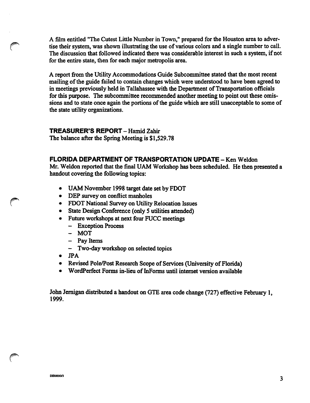A film entitled "The Cutest Little Number in Town," prepared for the Houston area to adver tise their system, was shown illustrating the use of various colors and a single number to call. The discussion that followed indicated there was considerable interest in such a system, if not for the entire state, then for each major metropolis area.

A report from the Utility Accommodations Guide Subcommittee stated that the most recent mailing of the guide failed to contain changes which were imderstood to have been agreed to in meetings previously held in Tallahassee with the Department of Transportation officials for this purpose. The subcommittee recommended another meeting to point out these omis sions and to state once again the portions of the guide which are still unacceptable to some of the state utility organizations.

## TREASURER'S REPORT - Hamid Zahir

The balance after the Spring Meeting is \$1,529.78

## FLORIDA DEPARTMENT OF TRANSPORTATION UPDATE - Ken Weldon

Mr. Weldon reported that the final UAM Workshop has been scheduled. He then presented a handout covering the following topics:

- UAM November 1998 target date set by FDOT
- DEP survey on conflict manholes
- FDOT National Survey on Utility Relocation Issues
- State Design Conference (only 5 utilities attended)
- Future workshops at next four FUCC meetings
	- Exception Process
	- MOT
	- Pay Items
	- Two-day workshop on selected topics
- JPA
- Revised Pole/Post Research Scope of Services (University of Florida)
- WordPerfect Forms in-lieu of InForms until internet version available

John Jemigan distributed a handout on GTE area code change (727) effective February 1, 1999.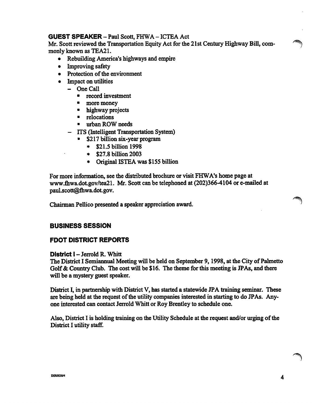# GUEST SPEAKER - Paul Scott, FHWA - ICTEA Act

Mr, Scott reviewed the Transportation Equity Act for the 21st Century Highway Bill, com monly known as TEA21.

- Rebuilding America's highways and empire
- Improving safety
- Protection of the environment
- Impact on utilities
	- One Call
		- record investment
		- more money
		- highway projects
		- relocations
		- urban ROW needs
	- ITS (Intelligent Transportation System)
		- \$217 billion six-year program
			- ♦ \$21.5 billion 1998
			- ♦ \$27.8 billion 2003
			- ♦ Original ISTEA was \$155 billion

For more information, see the distributed brochure or visit FHWA's home page at www.fhwa.dot.gov/tea21. Mr. Scott can be telephoned at (202)366-4104 or e-mailed at paul.scott@fhwa.dot.gov.

Chairman Pellico presented a speaker appreciation award.

# BUSINESS SESSION

# FDOT DISTRICT REPORTS

## District I - Jerrold R. Whitt

The District I Semiannual Meeting will be held on September 9, 1998, at the City of Palmetto Golf & Country Club. The cost will be \$16. The theme for this meeting is JPAs, and there will be a mystery guest speaker.

District I, in parmership with District V, has started a statewide JPA training seminar. These are being held at the request of the utility companies interested in starting to do JPAs. Any one interested can contact Jerrold Whitt or Roy Brentley to schedule one.

Also, District I is holding training on the Utility Schedule at the request and/or urging of the District I utility staff.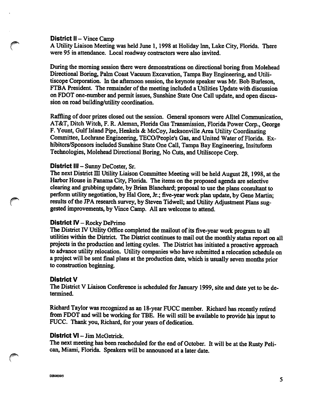#### District II – Vince Camp

A Utility Liaison Meeting was held Jime 1, 1998 at Holiday Inn, Lake City, Florida. There were 95 in attendance. Local roadway contractors were also invited.

During the morning session there were demonstrations on directional boring from Molehead Directional Boring, Palm Coast Vacuum Excavation, Tampa Bay Engineering, and Utilitiscope Corporation. In the afternoon session, the keynote speaker was Mr. Bob Burleson, FTBA President. The remainder of the meeting included a Utilities Update with discussion on FDOT one-number and permit issues. Sunshine State One Call update, and open discus sion on road building/utility coordination.

Raffling of door prizes closed out the session. General sponsors were Alltel Communication, AT&T, Ditch Witch, F. R. Aleman, Florida Gas Transmission, Florida Power Corp., George F. Yount, Gulf Island Pipe, Henkels & McCoy, Jacksonville Area Utility Coordinating Committee, Lochrane Engineering, TECO/People's Gas, and United Water of Florida. Ex hibitors/Sponsors included Sunshine State One Call, Tampa Bay Engineering, Insituform Technologies, Molehead Directional Boring, No Cuts, and Utiliscope Corp.

### District III - Sunny DeCoster, Sr.

The next District III Utility Liaison Committee Meeting will be held August 28, 1998, at the Harbor House in Panama City, Florida. The items on the proposed agenda are selective clearing and grubbing update, by Brian Blanchard; proposal to use the plans consultant to perform utility negotiation, by Hal Gore, Jr.; five-year work plan update, by Gene Martin; results of the JPA research survey, by Steven Tidwell; and Utility Adjustment Plans sug gested improvements, by Vince Camp. All are welcome to attend.

#### District  $\mathbf{N}$  – Rocky DePrimo

The District IV Utility Office completed the mailout of its five-year work program to all utilities within the District. The District continues to mail out the monthly status report on all projects in the production and letting cycles. The District has initiated a proactive approach to advance utility relocation. Utility companies who have submitted a relocation schedule on a project will be sent final plans at the production date, which is usually seven months prior to construction beginning.

#### District V

The District V Liaison Conference is scheduled for January 1999, site and date yet to be de termined.

Richard Taylor was recognized as an 18-year FUCC member. Richard has recently retired from FDOT and will be working for TBE. He will still be available to provide his input to FUCC. Thank you, Richard, for your years of dedication.

#### District VI - Jim McGetrick.

The next meeting has been rescheduled for the end of October. It will be at the Rusty Peli can, Miami, Florida. Speakers will be announced at a later date.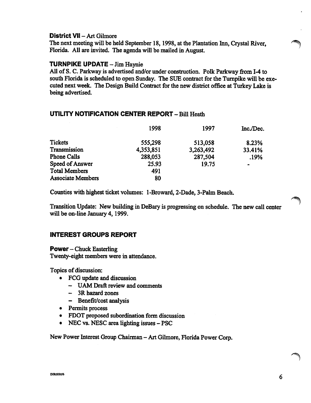## District VII - Art Gilmore

The next meeting will be held September 18, 1998, at the Plantation hm, Crystal River, Florida. All are invited. The agenda will be mailed in August.

## TURNPIKE UPDATE - Jim Haynie

All of S. C. Parkway is advertised and/or under construction. Polk Parkway from 1-4 to south Florida is scheduled to open Sunday. The SUE contract for the Turnpike will be executed next week. The Design Build Contract for the new district offrce at Turkey Lake is being advertised.

# UTILITY NOTIFICATION CENTER REPORT - Bill Heath

|                          | 1998      | 1997      | Inc./Dec. |
|--------------------------|-----------|-----------|-----------|
| <b>Tickets</b>           | 555,298   | 513,058   | 8.23%     |
| Transmission             | 4,353,851 | 3,263,492 | 33.41%    |
| <b>Phone Calls</b>       | 288,053   | 287,504   | .19%      |
| Speed of Answer          | 25.93     | 19.75     | -         |
| <b>Total Members</b>     | 491       |           |           |
| <b>Associate Members</b> | 80        |           |           |

Counties with highest ticket volumes: 1-Broward, 2-Dade, 3-Palm Beach.

Transition Update: New building in DeBary is progressing on schedule. The new call center will be on-line January 4,1999.

# INTEREST GROUPS REPORT

**Power**  $-$  Chuck Easterling

Twenty-eight members were in attendance.

Topics of discussion:

- FCG update and discussion
	- UAM Draft review and comments
	- 3R hazard zones
	- Benefit/cost analysis
- Permits process
- FDOT proposed subordination form discussion
- NEC vs. NESC area lighting issues PSC

New Power Interest Group Chairman - Art Gilmore, Florida Power Corp.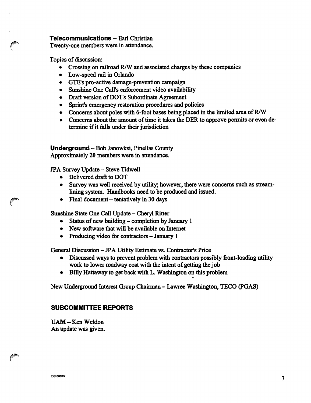### Telecommunications - Earl Christian

Twenty-one members were in attendance.

Topics of discussion:

- Crossing on railroad R/W and associated charges by these companies
- Low-speed rail in Orlando
- GTE's pro-active damage-prevention campaign
- Sunshine One Call's enforcement video availability
- Draft version of DOT's Subordinate Agreement
- Sprint's emergency restoration procedures and policies
- Concerns about poles with 6-foot bases being placed in the limited area of R/W
- Concems about the amount of time it takes the DER to approve permits or even de termine if it falls under their jurisdiction

Underground - Bob Janowksi, Pinellas County Approximately 20 members were in attendance.

JPA Survey Update - Steve Tidwell

- Delivered draft to DOT<br>• Survey was well receive
- Survey was well received by utility; however, there were concerns such as streamlining system. Handbooks need to be produced and issued.
- Final document tentatively in 30 days

Sunshine State One Call Update - Cheryl Ritter

- Status of new building completion by January 1
- New software that will be available on Intemet
- Producing video for contractors January 1

General Discussion - JPA Utility Estimate vs. Contractor's Price

- Discussed ways to prevent problem with contractors possibly front-loading utility work to lower roadway cost with the intent of getting the job
- Billy Hattaway to get back with L. Washington on this problem

New Underground Interest Group Chairman - Lawree Washington, TECO (PGAS)

# SUBCOMMITTEE REPORTS

UAM-KenWeldon An update was given.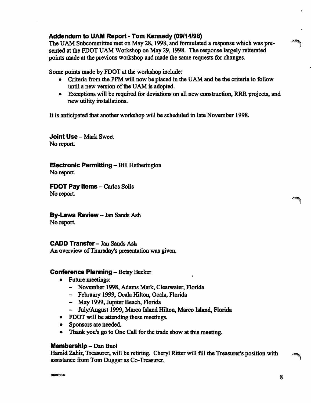# Addendum to UAM Report - Tom Kennedy (09/14/98)

The UAM Subcommittee met on May 28, 1998, and formulated a response which was pre sented at the FOOT UAM Workshop on May 29,1998. The response largely reiterated points made at the previous workshop and made the same requests for changes.

Some points made by FDOT at the workshop include:

- Criteria from the PPM will now be placed in the UAM and be the criteria to follow until a new version of the UAM is adopted.
- Exceptions will be required for deviations on all new construction, RRR projects, and new utility installations.

It is anticipated that another workshop will be scheduled in late November 1998.

Joint Use - Mark Sweet No report.

Electronic Permitting - Bill Hetherington No report.

FDOT Pay Items - Carlos Solis No report.

By-Laws Review - Jan Sands Ash No report.

CADD Transfer - Jan Sands Ash An overview of Thursday's presentation was given.

# Conference Planning - Betsy Becker

- Future meetings:
	- November 1998, Adams Mark, Clearwater, Florida
	- February 1999, Ocala Hilton, Ocala, Florida
	- May 1999, Jupiter Beach, Florida
	- July/August 1999, Marco Island Hilton, Marco Island, Florida
- FDOT will be attending these meetings.
- Sponsors are needed.
- Thank you's go to One Call for the trade show at this meeting.

## Membership - Dan Buol

Hamid Zahir, Treasurer, will be retiring. Cheryl Ritter will fill the Treasurer's position with assistance finm Tom Duggar as Co-Treasurer.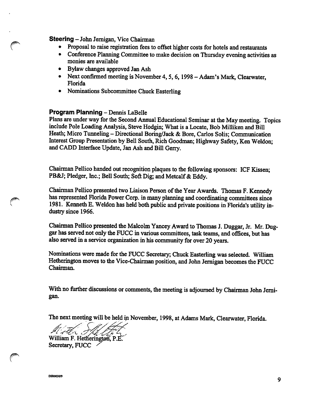### Steering - John Jernigan, Vice Chairman

- Proposal to raise registration fees to offset higher costs for hotels and restaurants
- Conference Planning Committee to make decision on Thursday evening activities as monies are available
- Bylaw changes approved Jan Ash
- Next confirmed meeting is November 4, 5, 6, 1998 Adam's Mark, Clearwater, Florida
- Nominations Subcommittee Chuck Easterling

### Program Planning - Dennis LaBelle

Plans are under way for the Second Annual Educational Seminar at the May meeting. Topics include Pole Loading Analysis, Steve Hodgin; What is a Locate, Bob Milliken and Bill Heath; Micro Tunneling - Directional Boring/Jack & Bore, Carlos Solis; Communication Interest Group Presentation by Bell South, Rich Goodman; Highway Safety, Ken Weldon; and CADD Interface Update, Jan Ash and Bill Gerry.

Chairman Pellico handed out recognition plaques to the following sponsors: ICF Kissen; PB&J; Pledger, Inc.; Bell South; Soft Dig; and Metcalf & Eddy.

Chairman Pellico presented two Liaison Person of the Year Awards. Thomas F. Kennedy has represented Florida Power Corp. in many planning and coordinating committees since 1981. Kenneth E. Weldon has held both public and private positions in Florida's utility in dustry since 1966.

Chairman Pellico presented the Malcolm Yancey Award to Thomas J. Duggar, Jr. Mr. Duggar has served not only the FUCC in various committees, task teams, and offices, but has also served in a service organization in his community for over 20 years.

Nominations were made for the FUCC Secretary; Chuck Easterling was selected. William Hetherington moves to the Vice-Chairman position, and John Jemigan becomes the FUCC Chairman.

With no further discussions or comments, the meeting is adjourned by Chairman John Jemi gan.

The next meeting will be held in November, 1998, at Adams Mark, Clearwater, Florida.

William F. Hetherington, P.E. Secretary, FUCC